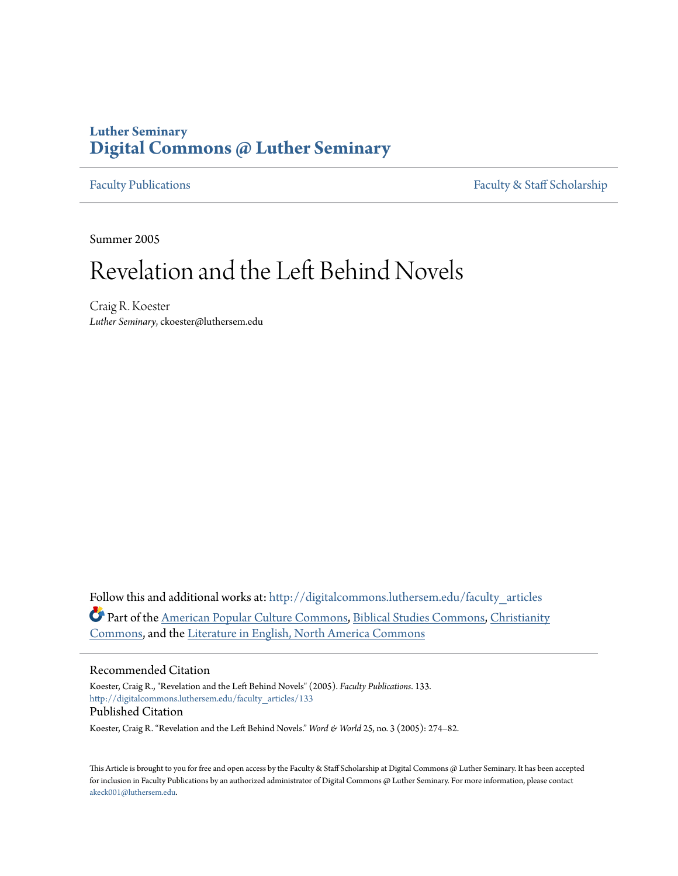# **Luther Seminary [Digital Commons @ Luther Seminary](http://digitalcommons.luthersem.edu?utm_source=digitalcommons.luthersem.edu%2Ffaculty_articles%2F133&utm_medium=PDF&utm_campaign=PDFCoverPages)**

[Faculty Publications](http://digitalcommons.luthersem.edu/faculty_articles?utm_source=digitalcommons.luthersem.edu%2Ffaculty_articles%2F133&utm_medium=PDF&utm_campaign=PDFCoverPages) [Faculty & Staff Scholarship](http://digitalcommons.luthersem.edu/faculty_staff?utm_source=digitalcommons.luthersem.edu%2Ffaculty_articles%2F133&utm_medium=PDF&utm_campaign=PDFCoverPages)

Summer 2005

# Revelation and the Left Behind Novels

Craig R. Koester *Luther Seminary*, ckoester@luthersem.edu

Follow this and additional works at: [http://digitalcommons.luthersem.edu/faculty\\_articles](http://digitalcommons.luthersem.edu/faculty_articles?utm_source=digitalcommons.luthersem.edu%2Ffaculty_articles%2F133&utm_medium=PDF&utm_campaign=PDFCoverPages) Part of the [American Popular Culture Commons](http://network.bepress.com/hgg/discipline/443?utm_source=digitalcommons.luthersem.edu%2Ffaculty_articles%2F133&utm_medium=PDF&utm_campaign=PDFCoverPages), [Biblical Studies Commons](http://network.bepress.com/hgg/discipline/539?utm_source=digitalcommons.luthersem.edu%2Ffaculty_articles%2F133&utm_medium=PDF&utm_campaign=PDFCoverPages), [Christianity](http://network.bepress.com/hgg/discipline/1181?utm_source=digitalcommons.luthersem.edu%2Ffaculty_articles%2F133&utm_medium=PDF&utm_campaign=PDFCoverPages) [Commons,](http://network.bepress.com/hgg/discipline/1181?utm_source=digitalcommons.luthersem.edu%2Ffaculty_articles%2F133&utm_medium=PDF&utm_campaign=PDFCoverPages) and the [Literature in English, North America Commons](http://network.bepress.com/hgg/discipline/458?utm_source=digitalcommons.luthersem.edu%2Ffaculty_articles%2F133&utm_medium=PDF&utm_campaign=PDFCoverPages)

### Recommended Citation

Koester, Craig R., "Revelation and the Left Behind Novels" (2005). *Faculty Publications*. 133. [http://digitalcommons.luthersem.edu/faculty\\_articles/133](http://digitalcommons.luthersem.edu/faculty_articles/133?utm_source=digitalcommons.luthersem.edu%2Ffaculty_articles%2F133&utm_medium=PDF&utm_campaign=PDFCoverPages) Published Citation

Koester, Craig R. "Revelation and the Left Behind Novels." *Word & World* 25, no. 3 (2005): 274-82.

This Article is brought to you for free and open access by the Faculty & Staff Scholarship at Digital Commons @ Luther Seminary. It has been accepted for inclusion in Faculty Publications by an authorized administrator of Digital Commons @ Luther Seminary. For more information, please contact [akeck001@luthersem.edu.](mailto:akeck001@luthersem.edu)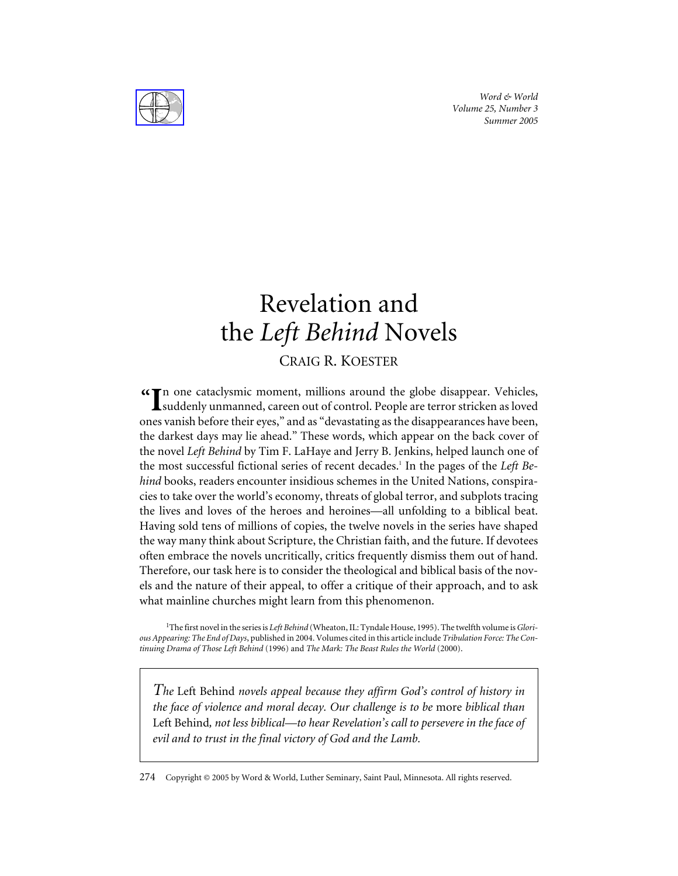*Word & World Volume 25, Number 3 Summer 2005*



# Revelation and the *Left Behind* Novels

## CRAIG R. KOESTER

n one cataclysmic moment, millions around the globe disappear. Vehicles, **"** suddenly unmanned, careen out of control. People are terror stricken as loved ones vanish before their eyes," and as "devastating as the disappearances have been, the darkest days may lie ahead." These words, which appear on the back cover of the novel *Left Behind* by Tim F. LaHaye and Jerry B. Jenkins, helped launch one of the most successful fictional series of recent decades.<sup>1</sup> In the pages of the *Left Behind* books, readers encounter insidious schemes in the United Nations, conspiracies to take over the world's economy, threats of global terror, and subplots tracing the lives and loves of the heroes and heroines—all unfolding to a biblical beat. Having sold tens of millions of copies, the twelve novels in the series have shaped the way many think about Scripture, the Christian faith, and the future. If devotees often embrace the novels uncritically, critics frequently dismiss them out of hand. Therefore, our task here is to consider the theological and biblical basis of the novels and the nature of their appeal, to offer a critique of their approach, and to ask what mainline churches might learn from this phenomenon.

1 The first novel in the series is *Left Behind* (Wheaton, IL: Tyndale House, 1995). The twelfth volume is*Glorious Appearing: The End of Days*, published in 2004. Volumes cited in this article include *Tribulation Force: The Continuing Drama of Those Left Behind* (1996) and *The Mark: The Beast Rules the World* (2000).

*The* Left Behind *novels appeal because they affirm God's control of history in the face of violence and moral decay. Our challenge is to be* more *biblical than* Left Behind*, not less biblical—to hear Revelation's call to persevere in the face of evil and to trust in the final victory of God and the Lamb.*

274 Copyright © 2005 by Word & World, Luther Seminary, Saint Paul, Minnesota. All rights reserved.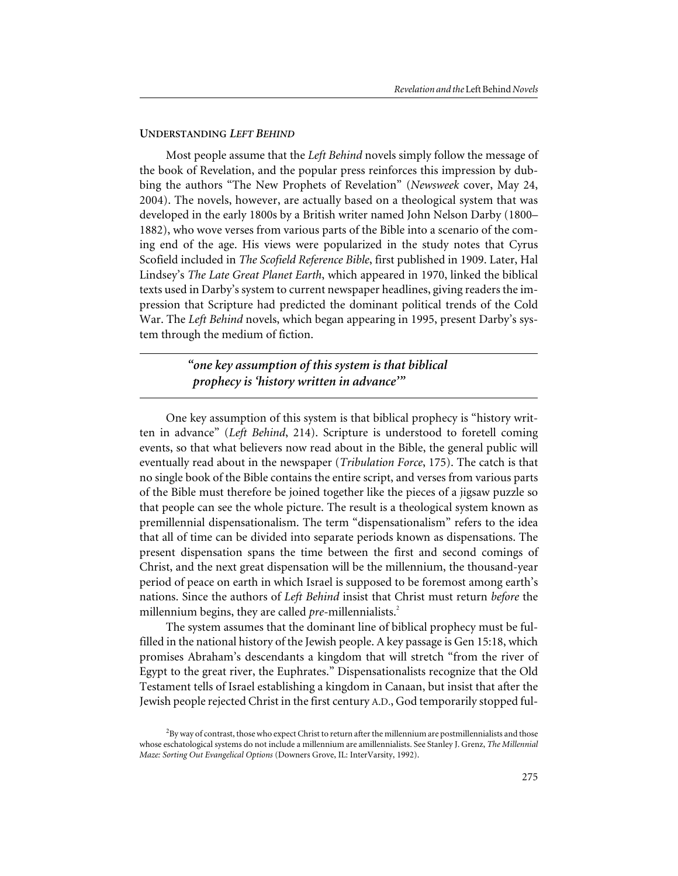#### **UNDERSTANDING** *LEFT BEHIND*

Most people assume that the *Left Behind* novels simply follow the message of the book of Revelation, and the popular press reinforces this impression by dubbing the authors "The New Prophets of Revelation" (*Newsweek* cover, May 24, 2004). The novels, however, are actually based on a theological system that was developed in the early 1800s by a British writer named John Nelson Darby (1800– 1882), who wove verses from various parts of the Bible into a scenario of the coming end of the age. His views were popularized in the study notes that Cyrus Scofield included in *The Scofield Reference Bible*, first published in 1909. Later, Hal Lindsey's *The Late Great Planet Earth*, which appeared in 1970, linked the biblical texts used in Darby's system to current newspaper headlines, giving readers the impression that Scripture had predicted the dominant political trends of the Cold War. The *Left Behind* novels, which began appearing in 1995, present Darby's system through the medium of fiction.

### *"one key assumption of this system is that biblical prophecy is 'history written in advance'"*

One key assumption of this system is that biblical prophecy is "history written in advance" (*Left Behind*, 214). Scripture is understood to foretell coming events, so that what believers now read about in the Bible, the general public will eventually read about in the newspaper (*Tribulation Force*, 175). The catch is that no single book of the Bible contains the entire script, and verses from various parts of the Bible must therefore be joined together like the pieces of a jigsaw puzzle so that people can see the whole picture. The result is a theological system known as premillennial dispensationalism. The term "dispensationalism" refers to the idea that all of time can be divided into separate periods known as dispensations. The present dispensation spans the time between the first and second comings of Christ, and the next great dispensation will be the millennium, the thousand-year period of peace on earth in which Israel is supposed to be foremost among earth's nations. Since the authors of *Left Behind* insist that Christ must return *before* the millennium begins, they are called *pre-*millennialists.<sup>2</sup>

The system assumes that the dominant line of biblical prophecy must be fulfilled in the national history of the Jewish people. A key passage is Gen 15:18, which promises Abraham's descendants a kingdom that will stretch "from the river of Egypt to the great river, the Euphrates." Dispensationalists recognize that the Old Testament tells of Israel establishing a kingdom in Canaan, but insist that after the Jewish people rejected Christ in the first century A.D., God temporarily stopped ful-

 $^{2}$ By way of contrast, those who expect Christ to return after the millennium are postmillennialists and those whose eschatological systems do not include a millennium are amillennialists. See Stanley J. Grenz, *The Millennial Maze: Sorting Out Evangelical Options* (Downers Grove, IL: InterVarsity, 1992).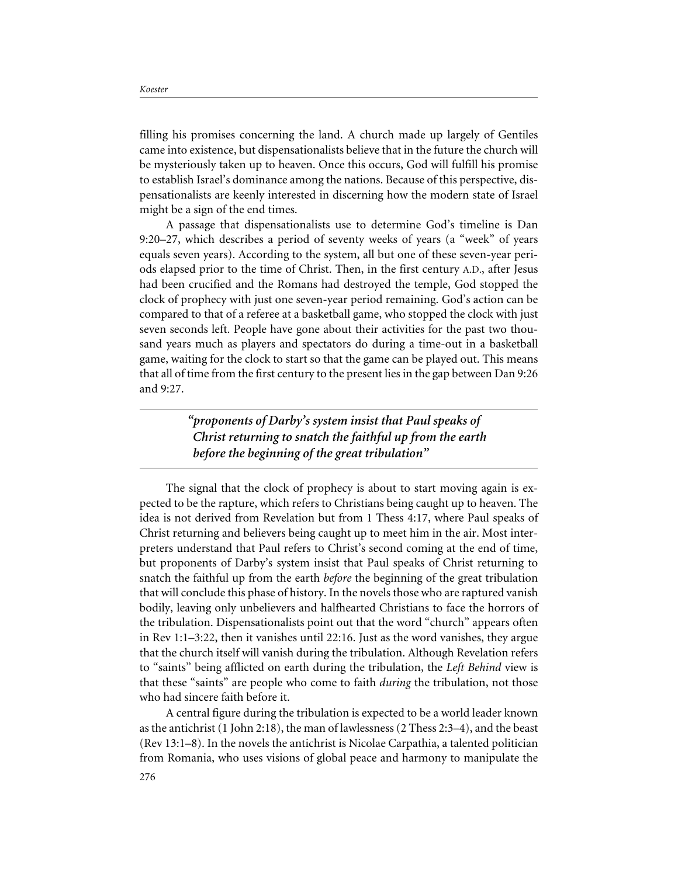filling his promises concerning the land. A church made up largely of Gentiles came into existence, but dispensationalists believe that in the future the church will be mysteriously taken up to heaven. Once this occurs, God will fulfill his promise to establish Israel's dominance among the nations. Because of this perspective, dispensationalists are keenly interested in discerning how the modern state of Israel might be a sign of the end times.

A passage that dispensationalists use to determine God's timeline is Dan 9:20–27, which describes a period of seventy weeks of years (a "week" of years equals seven years). According to the system, all but one of these seven-year periods elapsed prior to the time of Christ. Then, in the first century A.D., after Jesus had been crucified and the Romans had destroyed the temple, God stopped the clock of prophecy with just one seven-year period remaining. God's action can be compared to that of a referee at a basketball game, who stopped the clock with just seven seconds left. People have gone about their activities for the past two thousand years much as players and spectators do during a time-out in a basketball game, waiting for the clock to start so that the game can be played out. This means that all of time from the first century to the present lies in the gap between Dan 9:26 and 9:27.

> *"proponents of Darby's system insist that Paul speaks of Christ returning to snatch the faithful up from the earth before the beginning of the great tribulation"*

The signal that the clock of prophecy is about to start moving again is expected to be the rapture, which refers to Christians being caught up to heaven. The idea is not derived from Revelation but from 1 Thess 4:17, where Paul speaks of Christ returning and believers being caught up to meet him in the air. Most interpreters understand that Paul refers to Christ's second coming at the end of time, but proponents of Darby's system insist that Paul speaks of Christ returning to snatch the faithful up from the earth *before* the beginning of the great tribulation that will conclude this phase of history. In the novels those who are raptured vanish bodily, leaving only unbelievers and halfhearted Christians to face the horrors of the tribulation. Dispensationalists point out that the word "church" appears often in Rev 1:1–3:22, then it vanishes until 22:16. Just as the word vanishes, they argue that the church itself will vanish during the tribulation. Although Revelation refers to "saints" being afflicted on earth during the tribulation, the *Left Behind* view is that these "saints" are people who come to faith *during* the tribulation, not those who had sincere faith before it.

A central figure during the tribulation is expected to be a world leader known as the antichrist (1 John 2:18), the man of lawlessness (2 Thess 2:3–4), and the beast (Rev 13:1–8). In the novels the antichrist is Nicolae Carpathia, a talented politician from Romania, who uses visions of global peace and harmony to manipulate the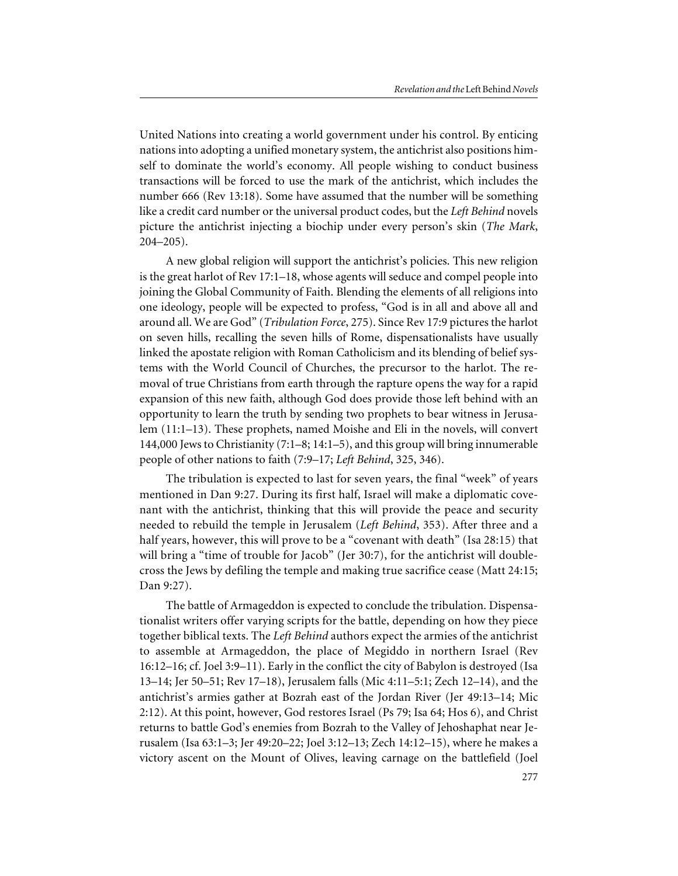United Nations into creating a world government under his control. By enticing nations into adopting a unified monetary system, the antichrist also positions himself to dominate the world's economy. All people wishing to conduct business transactions will be forced to use the mark of the antichrist, which includes the number 666 (Rev 13:18). Some have assumed that the number will be something like a credit card number or the universal product codes, but the *Left Behind* novels picture the antichrist injecting a biochip under every person's skin (*The Mark*, 204–205).

A new global religion will support the antichrist's policies. This new religion is the great harlot of Rev 17:1–18, whose agents will seduce and compel people into joining the Global Community of Faith. Blending the elements of all religions into one ideology, people will be expected to profess, "God is in all and above all and around all. We are God" (*Tribulation Force*, 275). Since Rev 17:9 pictures the harlot on seven hills, recalling the seven hills of Rome, dispensationalists have usually linked the apostate religion with Roman Catholicism and its blending of belief systems with the World Council of Churches, the precursor to the harlot. The removal of true Christians from earth through the rapture opens the way for a rapid expansion of this new faith, although God does provide those left behind with an opportunity to learn the truth by sending two prophets to bear witness in Jerusalem (11:1–13). These prophets, named Moishe and Eli in the novels, will convert 144,000 Jews to Christianity (7:1–8; 14:1–5), and this group will bring innumerable people of other nations to faith (7:9–17; *Left Behind*, 325, 346).

The tribulation is expected to last for seven years, the final "week" of years mentioned in Dan 9:27. During its first half, Israel will make a diplomatic covenant with the antichrist, thinking that this will provide the peace and security needed to rebuild the temple in Jerusalem (*Left Behind*, 353). After three and a half years, however, this will prove to be a "covenant with death" (Isa 28:15) that will bring a "time of trouble for Jacob" (Jer 30:7), for the antichrist will doublecross the Jews by defiling the temple and making true sacrifice cease (Matt 24:15; Dan 9:27).

The battle of Armageddon is expected to conclude the tribulation. Dispensationalist writers offer varying scripts for the battle, depending on how they piece together biblical texts. The *Left Behind* authors expect the armies of the antichrist to assemble at Armageddon, the place of Megiddo in northern Israel (Rev 16:12–16; cf. Joel 3:9–11). Early in the conflict the city of Babylon is destroyed (Isa 13–14; Jer 50–51; Rev 17–18), Jerusalem falls (Mic 4:11–5:1; Zech 12–14), and the antichrist's armies gather at Bozrah east of the Jordan River (Jer 49:13–14; Mic 2:12). At this point, however, God restores Israel (Ps 79; Isa 64; Hos 6), and Christ returns to battle God's enemies from Bozrah to the Valley of Jehoshaphat near Jerusalem (Isa 63:1–3; Jer 49:20–22; Joel 3:12–13; Zech 14:12–15), where he makes a victory ascent on the Mount of Olives, leaving carnage on the battlefield (Joel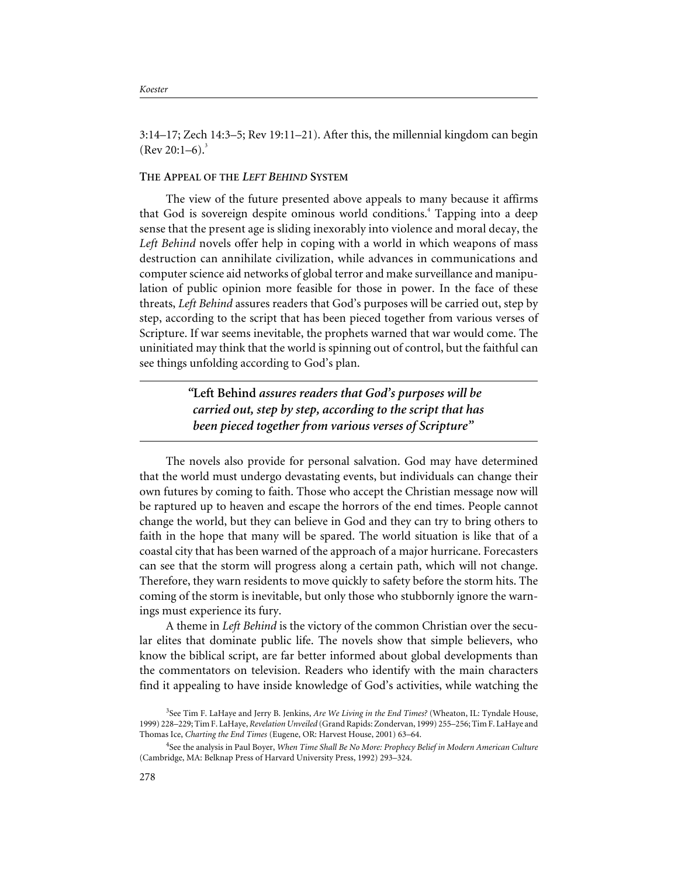3:14–17; Zech 14:3–5; Rev 19:11–21). After this, the millennial kingdom can begin  $($ Rev 20:1–6).<sup>3</sup>

#### **THE APPEAL OF THE** *LEFT BEHIND* **SYSTEM**

The view of the future presented above appeals to many because it affirms that God is sovereign despite ominous world conditions.<sup>4</sup> Tapping into a deep sense that the present age is sliding inexorably into violence and moral decay, the *Left Behind* novels offer help in coping with a world in which weapons of mass destruction can annihilate civilization, while advances in communications and computer science aid networks of global terror and make surveillance and manipulation of public opinion more feasible for those in power. In the face of these threats, *Left Behind* assures readers that God's purposes will be carried out, step by step, according to the script that has been pieced together from various verses of Scripture. If war seems inevitable, the prophets warned that war would come. The uninitiated may think that the world is spinning out of control, but the faithful can see things unfolding according to God's plan.

> *"***Left Behind** *assures readers that God's purposes will be carried out, step by step, according to the script that has been pieced together from various verses of Scripture"*

The novels also provide for personal salvation. God may have determined that the world must undergo devastating events, but individuals can change their own futures by coming to faith. Those who accept the Christian message now will be raptured up to heaven and escape the horrors of the end times. People cannot change the world, but they can believe in God and they can try to bring others to faith in the hope that many will be spared. The world situation is like that of a coastal city that has been warned of the approach of a major hurricane. Forecasters can see that the storm will progress along a certain path, which will not change. Therefore, they warn residents to move quickly to safety before the storm hits. The coming of the storm is inevitable, but only those who stubbornly ignore the warnings must experience its fury.

A theme in *Left Behind* is the victory of the common Christian over the secular elites that dominate public life. The novels show that simple believers, who know the biblical script, are far better informed about global developments than the commentators on television. Readers who identify with the main characters find it appealing to have inside knowledge of God's activities, while watching the

<sup>3</sup> See Tim F. LaHaye and Jerry B. Jenkins, *Are We Living in the End Times?* (Wheaton, IL: Tyndale House, 1999) 228–229; Tim F. LaHaye, *Revelation Unveiled* (Grand Rapids: Zondervan, 1999) 255–256; Tim F. LaHaye and Thomas Ice, *Charting the End Times* (Eugene, OR: Harvest House, 2001) 63–64.

<sup>4</sup> See the analysis in Paul Boyer, *When Time Shall Be No More: Prophecy Belief in Modern American Culture* (Cambridge, MA: Belknap Press of Harvard University Press, 1992) 293–324.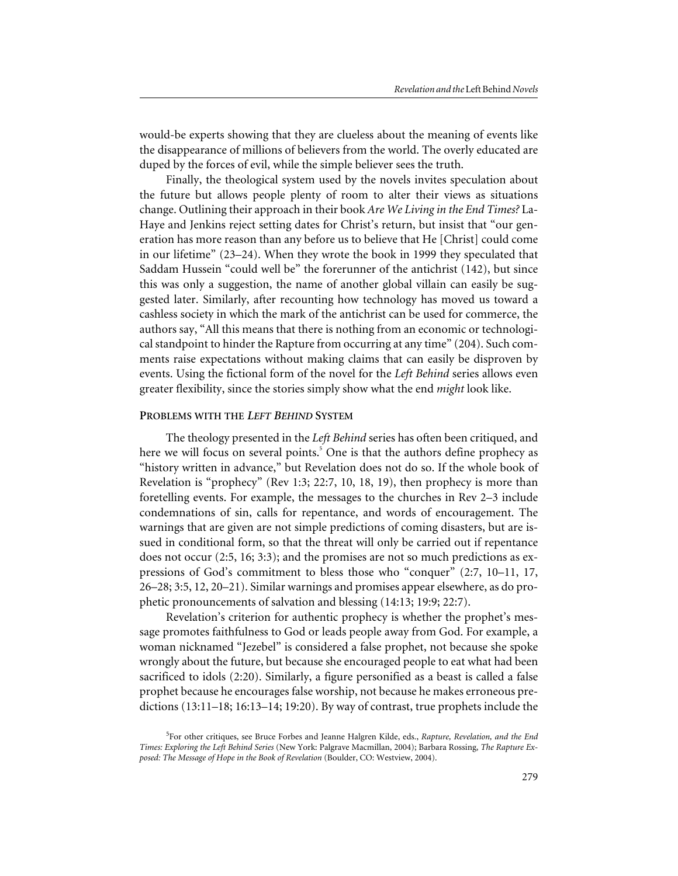would-be experts showing that they are clueless about the meaning of events like the disappearance of millions of believers from the world. The overly educated are duped by the forces of evil, while the simple believer sees the truth.

Finally, the theological system used by the novels invites speculation about the future but allows people plenty of room to alter their views as situations change. Outlining their approach in their book *Are We Living in the End Times?* La-Haye and Jenkins reject setting dates for Christ's return, but insist that "our generation has more reason than any before us to believe that He [Christ] could come in our lifetime" (23–24). When they wrote the book in 1999 they speculated that Saddam Hussein "could well be" the forerunner of the antichrist (142), but since this was only a suggestion, the name of another global villain can easily be suggested later. Similarly, after recounting how technology has moved us toward a cashless society in which the mark of the antichrist can be used for commerce, the authors say, "All this means that there is nothing from an economic or technological standpoint to hinder the Rapture from occurring at any time" (204). Such comments raise expectations without making claims that can easily be disproven by events. Using the fictional form of the novel for the *Left Behind* series allows even greater flexibility, since the stories simply show what the end *might* look like.

#### **PROBLEMS WITH THE** *LEFT BEHIND* **SYSTEM**

The theology presented in the *Left Behind* series has often been critiqued, and here we will focus on several points.<sup>5</sup> One is that the authors define prophecy as "history written in advance," but Revelation does not do so. If the whole book of Revelation is "prophecy" (Rev 1:3; 22:7, 10, 18, 19), then prophecy is more than foretelling events. For example, the messages to the churches in Rev 2–3 include condemnations of sin, calls for repentance, and words of encouragement. The warnings that are given are not simple predictions of coming disasters, but are issued in conditional form, so that the threat will only be carried out if repentance does not occur (2:5, 16; 3:3); and the promises are not so much predictions as expressions of God's commitment to bless those who "conquer" (2:7, 10–11, 17, 26–28; 3:5, 12, 20–21). Similar warnings and promises appear elsewhere, as do prophetic pronouncements of salvation and blessing (14:13; 19:9; 22:7).

Revelation's criterion for authentic prophecy is whether the prophet's message promotes faithfulness to God or leads people away from God. For example, a woman nicknamed "Jezebel" is considered a false prophet, not because she spoke wrongly about the future, but because she encouraged people to eat what had been sacrificed to idols (2:20). Similarly, a figure personified as a beast is called a false prophet because he encourages false worship, not because he makes erroneous predictions (13:11–18; 16:13–14; 19:20). By way of contrast, true prophets include the

<sup>5</sup> For other critiques, see Bruce Forbes and Jeanne Halgren Kilde, eds., *Rapture, Revelation, and the End Times: Exploring the Left Behind Series* (New York: Palgrave Macmillan, 2004); Barbara Rossing, *The Rapture Exposed: The Message of Hope in the Book of Revelation* (Boulder, CO: Westview, 2004).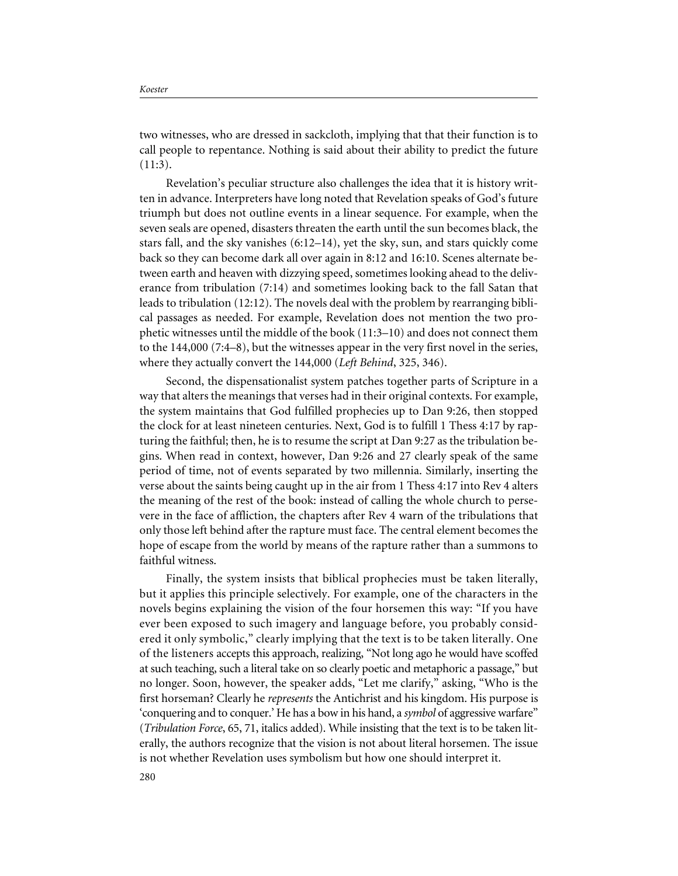two witnesses, who are dressed in sackcloth, implying that that their function is to call people to repentance. Nothing is said about their ability to predict the future  $(11:3).$ 

Revelation's peculiar structure also challenges the idea that it is history written in advance. Interpreters have long noted that Revelation speaks of God's future triumph but does not outline events in a linear sequence. For example, when the seven seals are opened, disasters threaten the earth until the sun becomes black, the stars fall, and the sky vanishes (6:12–14), yet the sky, sun, and stars quickly come back so they can become dark all over again in 8:12 and 16:10. Scenes alternate between earth and heaven with dizzying speed, sometimes looking ahead to the deliverance from tribulation (7:14) and sometimes looking back to the fall Satan that leads to tribulation (12:12). The novels deal with the problem by rearranging biblical passages as needed. For example, Revelation does not mention the two prophetic witnesses until the middle of the book (11:3–10) and does not connect them to the 144,000 (7:4–8), but the witnesses appear in the very first novel in the series, where they actually convert the 144,000 (*Left Behind*, 325, 346).

Second, the dispensationalist system patches together parts of Scripture in a way that alters the meanings that verses had in their original contexts. For example, the system maintains that God fulfilled prophecies up to Dan 9:26, then stopped the clock for at least nineteen centuries. Next, God is to fulfill 1 Thess 4:17 by rapturing the faithful; then, he is to resume the script at Dan 9:27 as the tribulation begins. When read in context, however, Dan 9:26 and 27 clearly speak of the same period of time, not of events separated by two millennia. Similarly, inserting the verse about the saints being caught up in the air from 1 Thess 4:17 into Rev 4 alters the meaning of the rest of the book: instead of calling the whole church to persevere in the face of affliction, the chapters after Rev 4 warn of the tribulations that only those left behind after the rapture must face. The central element becomes the hope of escape from the world by means of the rapture rather than a summons to faithful witness.

Finally, the system insists that biblical prophecies must be taken literally, but it applies this principle selectively. For example, one of the characters in the novels begins explaining the vision of the four horsemen this way: "If you have ever been exposed to such imagery and language before, you probably considered it only symbolic," clearly implying that the text is to be taken literally. One of the listeners accepts this approach, realizing, "Not long ago he would have scoffed at such teaching, such a literal take on so clearly poetic and metaphoric a passage," but no longer. Soon, however, the speaker adds, "Let me clarify," asking, "Who is the first horseman? Clearly he *represents* the Antichrist and his kingdom. His purpose is 'conquering and to conquer.' He has a bow in his hand, a *symbol* of aggressive warfare" (*Tribulation Force*, 65, 71, italics added). While insisting that the text is to be taken literally, the authors recognize that the vision is not about literal horsemen. The issue is not whether Revelation uses symbolism but how one should interpret it.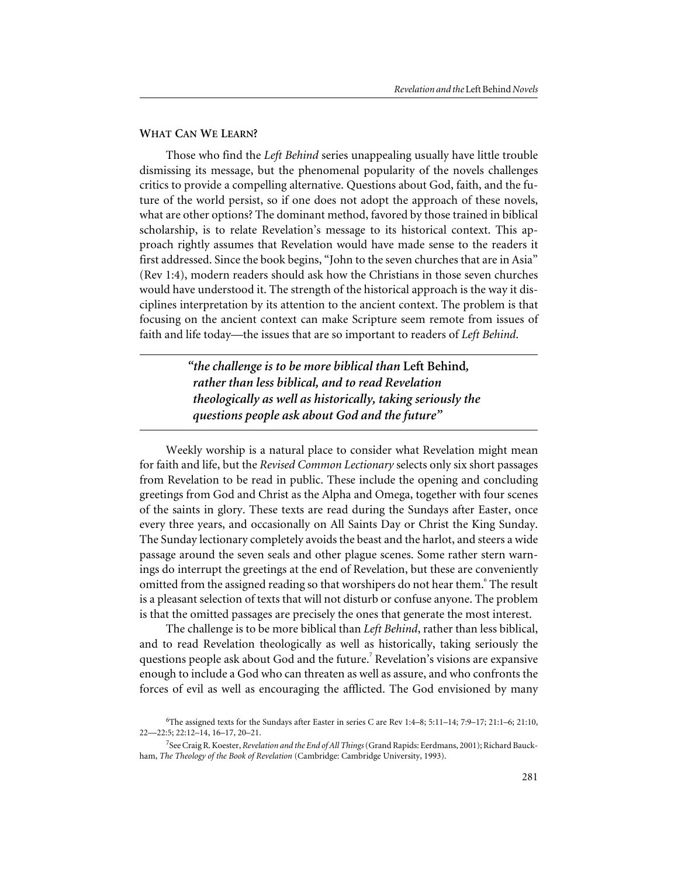#### **WHAT CAN WE LEARN?**

Those who find the *Left Behind* series unappealing usually have little trouble dismissing its message, but the phenomenal popularity of the novels challenges critics to provide a compelling alternative. Questions about God, faith, and the future of the world persist, so if one does not adopt the approach of these novels, what are other options? The dominant method, favored by those trained in biblical scholarship, is to relate Revelation's message to its historical context. This approach rightly assumes that Revelation would have made sense to the readers it first addressed. Since the book begins, "John to the seven churches that are in Asia" (Rev 1:4), modern readers should ask how the Christians in those seven churches would have understood it. The strength of the historical approach is the way it disciplines interpretation by its attention to the ancient context. The problem is that focusing on the ancient context can make Scripture seem remote from issues of faith and life today—the issues that are so important to readers of *Left Behind*.

> *"the challenge is to be more biblical than* **Left Behind***, rather than less biblical, and to read Revelation theologically as well as historically, taking seriously the questions people ask about God and the future"*

Weekly worship is a natural place to consider what Revelation might mean for faith and life, but the *Revised Common Lectionary* selects only six short passages from Revelation to be read in public. These include the opening and concluding greetings from God and Christ as the Alpha and Omega, together with four scenes of the saints in glory. These texts are read during the Sundays after Easter, once every three years, and occasionally on All Saints Day or Christ the King Sunday. The Sunday lectionary completely avoids the beast and the harlot, and steers a wide passage around the seven seals and other plague scenes. Some rather stern warnings do interrupt the greetings at the end of Revelation, but these are conveniently omitted from the assigned reading so that worshipers do not hear them.<sup>6</sup> The result is a pleasant selection of texts that will not disturb or confuse anyone. The problem is that the omitted passages are precisely the ones that generate the most interest.

The challenge is to be more biblical than *Left Behind*, rather than less biblical, and to read Revelation theologically as well as historically, taking seriously the questions people ask about God and the future.<sup>7</sup> Revelation's visions are expansive enough to include a God who can threaten as well as assure, and who confronts the forces of evil as well as encouraging the afflicted. The God envisioned by many

<sup>6</sup> The assigned texts for the Sundays after Easter in series C are Rev 1:4–8; 5:11–14; 7:9–17; 21:1–6; 21:10, 22—22:5; 22:12–14, 16–17, 20–21.

<sup>7</sup> See Craig R. Koester, *Revelation and the End of All Things*(Grand Rapids: Eerdmans, 2001); Richard Bauckham, *The Theology of the Book of Revelation* (Cambridge: Cambridge University, 1993).